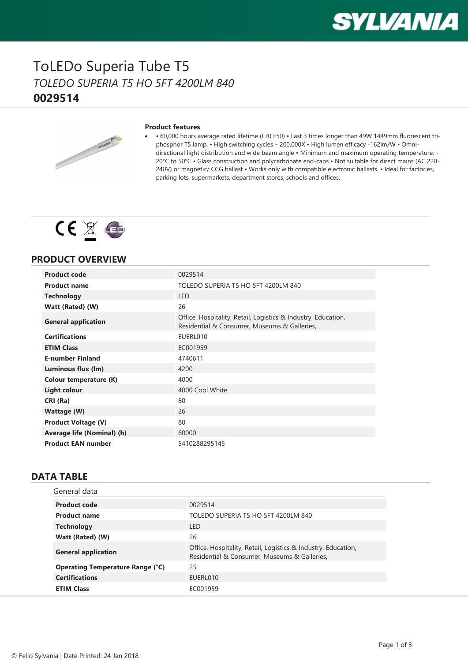

### ToLEDo Superia Tube T5 *TOLEDO SUPERIA T5 HO 5FT 4200LM 840* **0029514**



#### **Product features**

· • 60,000 hours average rated lifetime (L70 F50) • Last 3 times longer than 49W 1449mm fluorescent triphosphor T5 lamp. • High switching cycles – 200,000X • High lumen efficacy -162lm/W • Omnidirectional light distribution and wide beam angle • Minimum and maximum operating temperature: - 20°C to 50°C • Glass construction and polycarbonate end-caps • Not suitable for direct mains (AC 220- 240V) or magnetic/ CCG ballast • Works only with compatible electronic ballasts. • Ideal for factories, parking lots, supermarkets, department stores, schools and offices.



### **PRODUCT OVERVIEW**

| 0029514                                                                                                       |
|---------------------------------------------------------------------------------------------------------------|
| TOLEDO SUPERIA T5 HO 5FT 4200LM 840                                                                           |
| I FD.                                                                                                         |
| 26                                                                                                            |
| Office, Hospitality, Retail, Logistics & Industry, Education,<br>Residential & Consumer, Museums & Galleries, |
| EUERL010                                                                                                      |
| EC001959                                                                                                      |
| 4740611                                                                                                       |
| 4200                                                                                                          |
| 4000                                                                                                          |
| 4000 Cool White                                                                                               |
| 80                                                                                                            |
| 26                                                                                                            |
| 80                                                                                                            |
| 60000                                                                                                         |
| 5410288295145                                                                                                 |
|                                                                                                               |

#### **DATA TABLE**

| General data                            |                                                                                                               |
|-----------------------------------------|---------------------------------------------------------------------------------------------------------------|
| <b>Product code</b>                     | 0029514                                                                                                       |
| <b>Product name</b>                     | TOLEDO SUPERIA T5 HO 5FT 4200LM 840                                                                           |
| <b>Technology</b>                       | I FD                                                                                                          |
| Watt (Rated) (W)                        | 26                                                                                                            |
| <b>General application</b>              | Office, Hospitality, Retail, Logistics & Industry, Education,<br>Residential & Consumer, Museums & Galleries, |
| <b>Operating Temperature Range (°C)</b> | 25                                                                                                            |
| <b>Certifications</b>                   | EUERL010                                                                                                      |
| <b>ETIM Class</b>                       | EC001959                                                                                                      |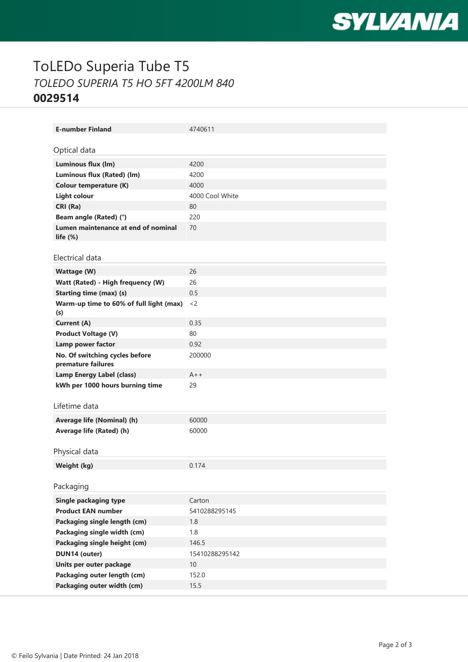

# ToLEDo Superia Tube T5 *TOLEDO SUPERIA T5 HO 5FT 4200LM 840* **0029514**

| <b>E-number Finland</b>                                 | 4740611         |
|---------------------------------------------------------|-----------------|
| Optical data                                            |                 |
|                                                         |                 |
| Luminous flux (lm)                                      | 4200            |
| Luminous flux (Rated) (lm)                              | 4200            |
| Colour temperature (K)                                  | 4000            |
| <b>Light colour</b>                                     | 4000 Cool White |
| CRI (Ra)                                                | 80              |
| Beam angle (Rated) (°)                                  | 220             |
| Lumen maintenance at end of nominal<br>life $(\%)$      | 70              |
| Electrical data                                         |                 |
|                                                         | 26              |
| <b>Wattage (W)</b><br>Watt (Rated) - High frequency (W) | 26              |
| <b>Starting time (max) (s)</b>                          | 0.5             |
| Warm-up time to 60% of full light (max)                 | $<$ 2           |
| (s)                                                     |                 |
| Current (A)                                             | 0.35            |
| <b>Product Voltage (V)</b>                              | 80              |
| Lamp power factor                                       | 0.92            |
| No. Of switching cycles before<br>premature failures    | 200000          |
| <b>Lamp Energy Label (class)</b>                        | $A++$           |
| kWh per 1000 hours burning time                         | 29              |
|                                                         |                 |
| Lifetime data                                           |                 |
| Average life (Nominal) (h)                              | 60000           |
| Average life (Rated) (h)                                | 60000           |
|                                                         |                 |
| Physical data                                           |                 |
| Weight (kg)                                             | 0.174           |
|                                                         |                 |
| Packaging                                               |                 |
| <b>Single packaging type</b>                            | Carton          |
| <b>Product EAN number</b>                               | 5410288295145   |
| Packaging single length (cm)                            | 1.8             |
| Packaging single width (cm)                             | 1.8             |
| Packaging single height (cm)                            | 146.5           |
| DUN14 (outer)                                           | 15410288295142  |
| Units per outer package                                 | 10              |
| Packaging outer length (cm)                             | 152.0           |
| Packaging outer width (cm)                              | 15.5            |